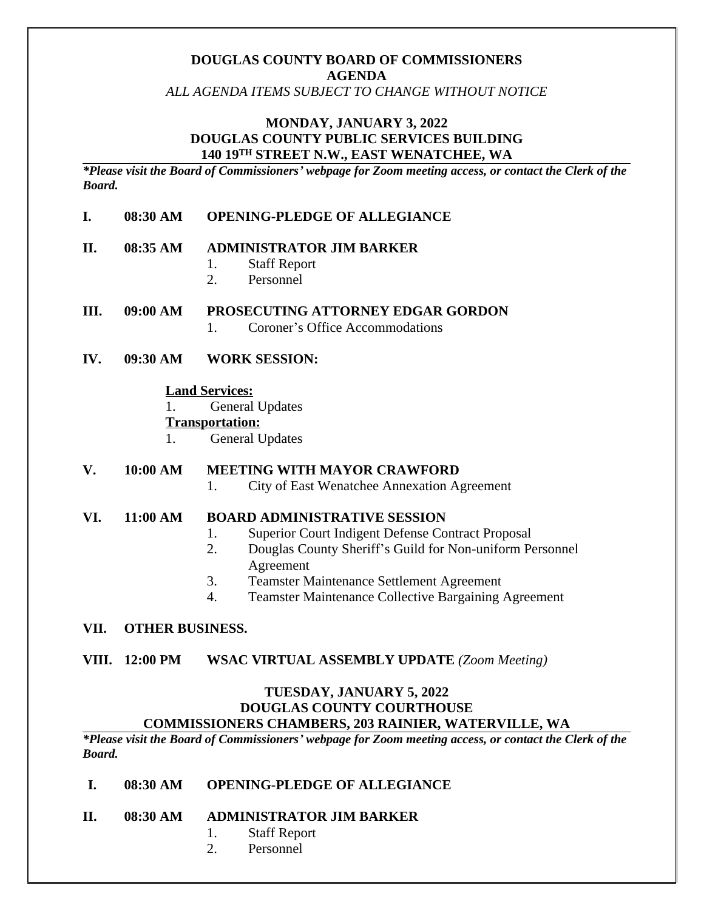# **DOUGLAS COUNTY BOARD OF COMMISSIONERS AGENDA**

*ALL AGENDA ITEMS SUBJECT TO CHANGE WITHOUT NOTICE*

## **MONDAY, JANUARY 3, 2022 DOUGLAS COUNTY PUBLIC SERVICES BUILDING 140 19TH STREET N.W., EAST WENATCHEE, WA**

*\*Please visit the Board of Commissioners' webpage for Zoom meeting access, or contact the Clerk of the Board.* 

#### **I. 08:30 AM OPENING-PLEDGE OF ALLEGIANCE**

#### **II. 08:35 AM ADMINISTRATOR JIM BARKER**

- 1. Staff Report
- 2. Personnel

#### **III. 09:00 AM PROSECUTING ATTORNEY EDGAR GORDON**

- 1. Coroner's Office Accommodations
- **IV. 09:30 AM WORK SESSION:**

#### **Land Services:**

1. General Updates

#### **Transportation:**

1. General Updates

#### **V. 10:00 AM MEETING WITH MAYOR CRAWFORD**

1. City of East Wenatchee Annexation Agreement

#### **VI. 11:00 AM BOARD ADMINISTRATIVE SESSION**

- 1. Superior Court Indigent Defense Contract Proposal
- 2. Douglas County Sheriff's Guild for Non-uniform Personnel Agreement
- 3. Teamster Maintenance Settlement Agreement
- 4. Teamster Maintenance Collective Bargaining Agreement

#### **VII. OTHER BUSINESS.**

**VIII. 12:00 PM WSAC VIRTUAL ASSEMBLY UPDATE** *(Zoom Meeting)*

## **TUESDAY, JANUARY 5, 2022 DOUGLAS COUNTY COURTHOUSE COMMISSIONERS CHAMBERS, 203 RAINIER, WATERVILLE, WA**

*\*Please visit the Board of Commissioners' webpage for Zoom meeting access, or contact the Clerk of the Board.* 

### **I. 08:30 AM OPENING-PLEDGE OF ALLEGIANCE**

- **II. 08:30 AM ADMINISTRATOR JIM BARKER**
	- 1. Staff Report
	- 2. Personnel